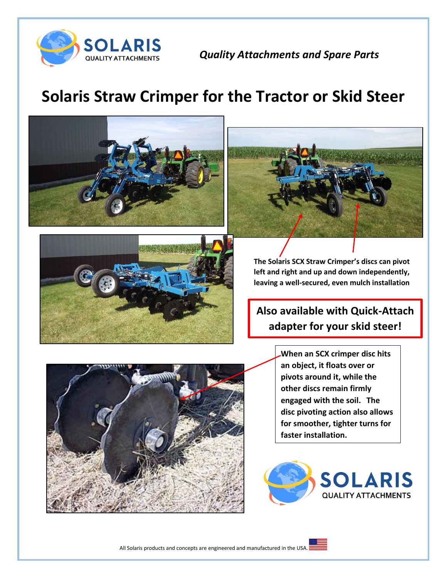

*Quality Attachments and Spare Parts*

## **Solaris Straw Crimper for the Tractor or Skid Steer**





**The Solaris SCX Straw Crimper's discs can pivot left and right and up and down independently, leaving a well-secured, even mulch installation**

## **Also available with Quick-Attach adapter for your skid steer!**



**When an SCX crimper disc hits an object, it floats over or pivots around it, while the other discs remain firmly engaged with the soil. The disc pivoting action also allows for smoother, tighter turns for faster installation.**